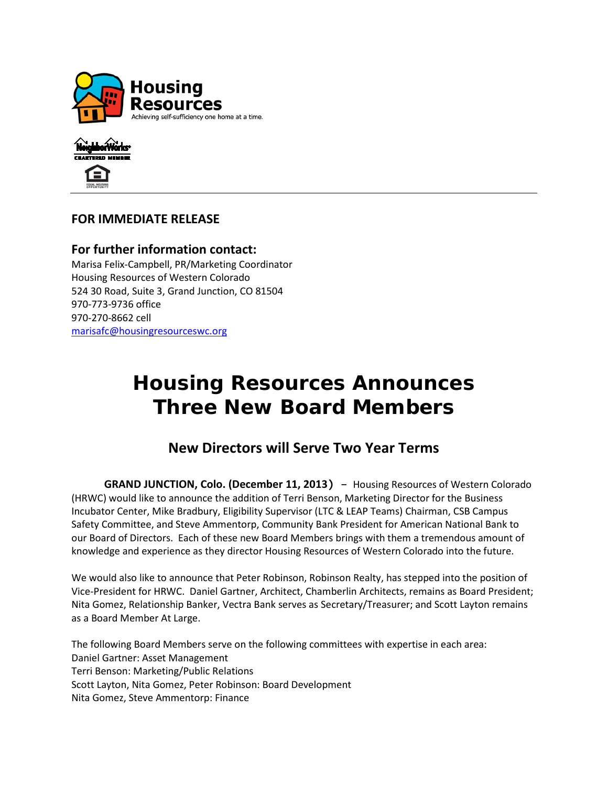



## **FOR IMMEDIATE RELEASE**

### **For further information contact:** Marisa Felix-Campbell, PR/Marketing Coordinator Housing Resources of Western Colorado 524 30 Road, Suite 3, Grand Junction, CO 81504 970-773-9736 office 970-270-8662 cell

[marisafc@housingresourceswc.org](mailto:eldonk@housingresourceswc.org)

# **Housing Resources Announces Three New Board Members**

# **New Directors will Serve Two Year Terms**

 **GRAND JUNCTION, Colo. (December 11, 2013)** – Housing Resources of Western Colorado (HRWC) would like to announce the addition of Terri Benson, Marketing Director for the Business Incubator Center, Mike Bradbury, Eligibility Supervisor (LTC & LEAP Teams) Chairman, CSB Campus Safety Committee, and Steve Ammentorp, Community Bank President for American National Bank to our Board of Directors. Each of these new Board Members brings with them a tremendous amount of knowledge and experience as they director Housing Resources of Western Colorado into the future.

We would also like to announce that Peter Robinson, Robinson Realty, has stepped into the position of Vice-President for HRWC. Daniel Gartner, Architect, Chamberlin Architects, remains as Board President; Nita Gomez, Relationship Banker, Vectra Bank serves as Secretary/Treasurer; and Scott Layton remains as a Board Member At Large.

The following Board Members serve on the following committees with expertise in each area: Daniel Gartner: Asset Management Terri Benson: Marketing/Public Relations Scott Layton, Nita Gomez, Peter Robinson: Board Development Nita Gomez, Steve Ammentorp: Finance